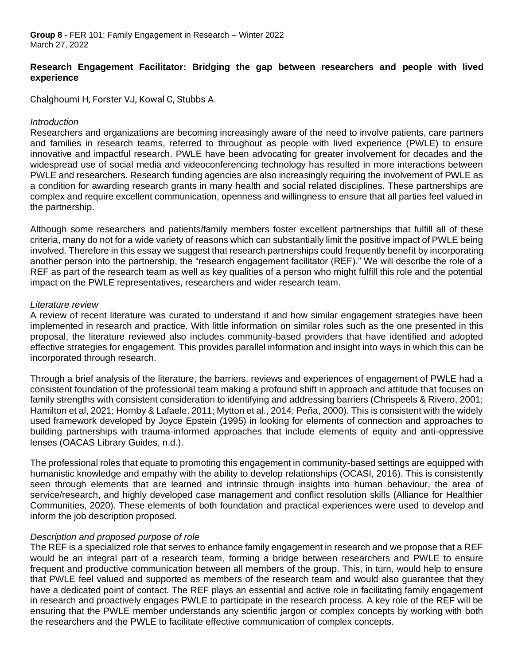## **Research Engagement Facilitator: Bridging the gap between researchers and people with lived experience**

Chalghoumi H, Forster VJ, Kowal C, Stubbs A.

## *Introduction*

Researchers and organizations are becoming increasingly aware of the need to involve patients, care partners and families in research teams, referred to throughout as people with lived experience (PWLE) to ensure innovative and impactful research. PWLE have been advocating for greater involvement for decades and the widespread use of social media and videoconferencing technology has resulted in more interactions between PWLE and researchers. Research funding agencies are also increasingly requiring the involvement of PWLE as a condition for awarding research grants in many health and social related disciplines. These partnerships are complex and require excellent communication, openness and willingness to ensure that all parties feel valued in the partnership.

Although some researchers and patients/family members foster excellent partnerships that fulfill all of these criteria, many do not for a wide variety of reasons which can substantially limit the positive impact of PWLE being involved. Therefore in this essay we suggest that research partnerships could frequently benefit by incorporating another person into the partnership, the "research engagement facilitator (REF)." We will describe the role of a REF as part of the research team as well as key qualities of a person who might fulfill this role and the potential impact on the PWLE representatives, researchers and wider research team.

#### *Literature review*

A review of recent literature was curated to understand if and how similar engagement strategies have been implemented in research and practice. With little information on similar roles such as the one presented in this proposal, the literature reviewed also includes community-based providers that have identified and adopted effective strategies for engagement. This provides parallel information and insight into ways in which this can be incorporated through research.

Through a brief analysis of the literature, the barriers, reviews and experiences of engagement of PWLE had a consistent foundation of the professional team making a profound shift in approach and attitude that focuses on family strengths with consistent consideration to identifying and addressing barriers (Chrispeels & Rivero, 2001; Hamilton et al, 2021; Hornby & Lafaele, 2011; Mytton et al., 2014; Peña, 2000). This is consistent with the widely used framework developed by Joyce Epstein (1995) in looking for elements of connection and approaches to building partnerships with trauma-informed approaches that include elements of equity and anti-oppressive lenses (OACAS Library Guides, n.d.).

The professional roles that equate to promoting this engagement in community-based settings are equipped with humanistic knowledge and empathy with the ability to develop relationships (OCASI, 2016). This is consistently seen through elements that are learned and intrinsic through insights into human behaviour, the area of service/research, and highly developed case management and conflict resolution skills (Alliance for Healthier Communities, 2020). These elements of both foundation and practical experiences were used to develop and inform the job description proposed.

## *Description and proposed purpose of role*

The REF is a specialized role that serves to enhance family engagement in research and we propose that a REF would be an integral part of a research team, forming a bridge between researchers and PWLE to ensure frequent and productive communication between all members of the group. This, in turn, would help to ensure that PWLE feel valued and supported as members of the research team and would also guarantee that they have a dedicated point of contact. The REF plays an essential and active role in facilitating family engagement in research and proactively engages PWLE to participate in the research process. A key role of the REF will be ensuring that the PWLE member understands any scientific jargon or complex concepts by working with both the researchers and the PWLE to facilitate effective communication of complex concepts.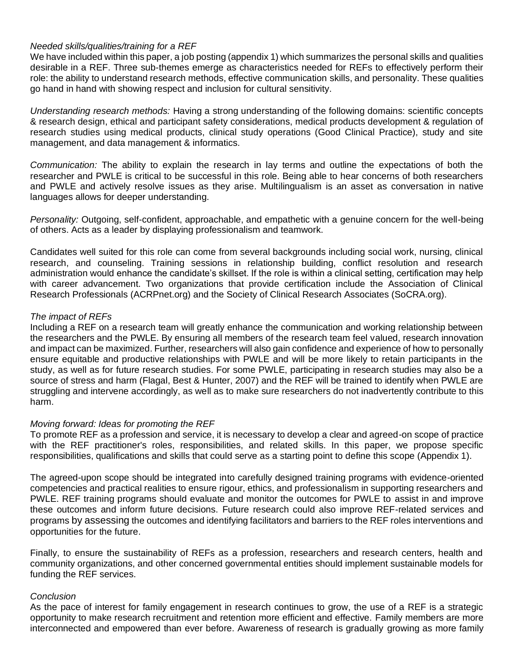#### *Needed skills/qualities/training for a REF*

We have included within this paper, a job posting (appendix 1) which summarizes the personal skills and qualities desirable in a REF. Three sub-themes emerge as characteristics needed for REFs to effectively perform their role: the ability to understand research methods, effective communication skills, and personality. These qualities go hand in hand with showing respect and inclusion for cultural sensitivity.

*Understanding research methods:* Having a strong understanding of the following domains: scientific concepts & research design, ethical and participant safety considerations, medical products development & regulation of research studies using medical products, clinical study operations (Good Clinical Practice), study and site management, and data management & informatics.

*Communication:* The ability to explain the research in lay terms and outline the expectations of both the researcher and PWLE is critical to be successful in this role. Being able to hear concerns of both researchers and PWLE and actively resolve issues as they arise. Multilingualism is an asset as conversation in native languages allows for deeper understanding.

*Personality:* Outgoing, self-confident, approachable, and empathetic with a genuine concern for the well-being of others. Acts as a leader by displaying professionalism and teamwork.

Candidates well suited for this role can come from several backgrounds including social work, nursing, clinical research, and counseling. Training sessions in relationship building, conflict resolution and research administration would enhance the candidate's skillset. If the role is within a clinical setting, certification may help with career advancement. Two organizations that provide certification include the Association of Clinical Research Professionals (ACRPnet.org) and the Society of Clinical Research Associates (SoCRA.org).

#### *The impact of REFs*

Including a REF on a research team will greatly enhance the communication and working relationship between the researchers and the PWLE. By ensuring all members of the research team feel valued, research innovation and impact can be maximized. Further, researchers will also gain confidence and experience of how to personally ensure equitable and productive relationships with PWLE and will be more likely to retain participants in the study, as well as for future research studies. For some PWLE, participating in research studies may also be a source of stress and harm (Flagal, Best & Hunter, 2007) and the REF will be trained to identify when PWLE are struggling and intervene accordingly, as well as to make sure researchers do not inadvertently contribute to this harm.

#### *Moving forward: Ideas for promoting the REF*

To promote REF as a profession and service, it is necessary to develop a clear and agreed-on scope of practice with the REF practitioner's roles, responsibilities, and related skills. In this paper, we propose specific responsibilities, qualifications and skills that could serve as a starting point to define this scope (Appendix 1).

The agreed-upon scope should be integrated into carefully designed training programs with evidence-oriented competencies and practical realities to ensure rigour, ethics, and professionalism in supporting researchers and PWLE. REF training programs should evaluate and monitor the outcomes for PWLE to assist in and improve these outcomes and inform future decisions. Future research could also improve REF-related services and programs by assessing the outcomes and identifying facilitators and barriers to the REF roles interventions and opportunities for the future.

Finally, to ensure the sustainability of REFs as a profession, researchers and research centers, health and community organizations, and other concerned governmental entities should implement sustainable models for funding the REF services.

#### *Conclusion*

As the pace of interest for family engagement in research continues to grow, the use of a REF is a strategic opportunity to make research recruitment and retention more efficient and effective. Family members are more interconnected and empowered than ever before. Awareness of research is gradually growing as more family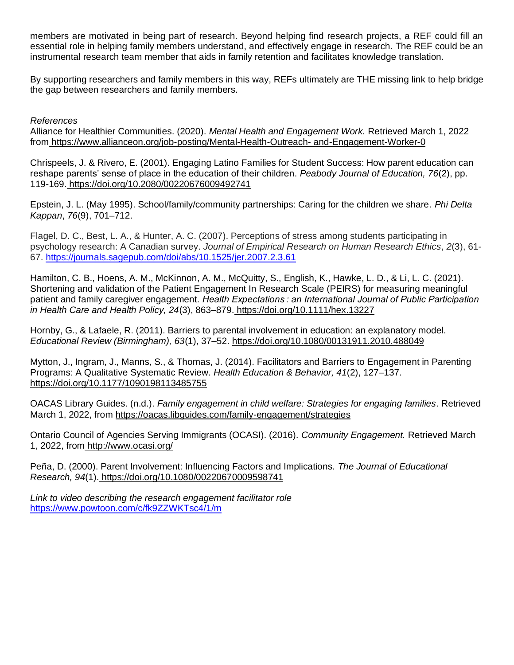members are motivated in being part of research. Beyond helping find research projects, a REF could fill an essential role in helping family members understand, and effectively engage in research. The REF could be an instrumental research team member that aids in family retention and facilitates knowledge translation.

By supporting researchers and family members in this way, REFs ultimately are THE missing link to help bridge the gap between researchers and family members.

#### *References*

Alliance for Healthier Communities. (2020). *Mental Health and Engagement Work.* Retrieved March 1, 2022 from [https://www.allianceon.org/job-posting/Mental-Health-Outreach-](https://www.allianceon.org/job-posting/Mental-Health-Outreach-and-Engagement-Worker-0) and-Engagement-Worker-0

Chrispeels, J. & Rivero, E. (2001). Engaging Latino Families for Student Success: How parent education can reshape parents' sense of place in the education of their children. *Peabody Journal of Education, 76*(2), pp. 119-169. <https://doi.org/10.2080/00220676009492741>

Epstein, J. L. (May 1995). School/family/community partnerships: Caring for the children we share. *Phi Delta Kappan*, *76*(9), 701–712.

Flagel, D. C., Best, L. A., & Hunter, A. C. (2007). Perceptions of stress among students participating in psychology research: A Canadian survey. *Journal of Empirical Research on Human Research Ethics*, *2*(3), 61- 67. <https://journals.sagepub.com/doi/abs/10.1525/jer.2007.2.3.61>

Hamilton, C. B., Hoens, A. M., McKinnon, A. M., McQuitty, S., English, K., Hawke, L. D., & Li, L. C. (2021). Shortening and validation of the Patient Engagement In Research Scale (PEIRS) for measuring meaningful patient and family caregiver engagement. *Health Expectations : an International Journal of Public Participation in Health Care and Health Policy, 24*(3), 863–879. <https://doi.org/10.1111/hex.13227>

Hornby, G., & Lafaele, R. (2011). Barriers to parental involvement in education: an explanatory model. *Educational Review (Birmingham), 63*(1), 37–52.<https://doi.org/10.1080/00131911.2010.488049>

Mytton, J., Ingram, J., Manns, S., & Thomas, J. (2014). Facilitators and Barriers to Engagement in Parenting Programs: A Qualitative Systematic Review. *Health Education & Behavior, 41*(2), 127–137[.](https://doi.org/10.1177/1090198113485755) <https://doi.org/10.1177/1090198113485755>

OACAS Library Guides. (n.d.). *Family engagement in child welfare: Strategies for engaging families*. Retrieved March 1, 2022, from<https://oacas.libguides.com/family-engagement/strategies>

Ontario Council of Agencies Serving Immigrants (OCASI). (2016). *Community Engagement.* Retrieved March 1, 2022, from <http://www.ocasi.org/>

Peña, D. (2000). Parent Involvement: Influencing Factors and Implications. *The Journal of Educational Research, 94*(1). <https://doi.org/10.1080/00220670009598741>

*Link to video describing the research engagement facilitator role* [https://www.powtoon.com/c/fk9ZZWKTsc4/1/m](https://urldefense.com/v3/__https:/www.powtoon.com/c/fk9ZZWKTsc4/1/m__;!!D0zGoin7BXfl!rTlJM6DrFykR6hBpeNULR_-Z2rv-20kGDLs8vNzHS2qN04pjsa0f1jGbC9-OxdBTvG8F7Sra$)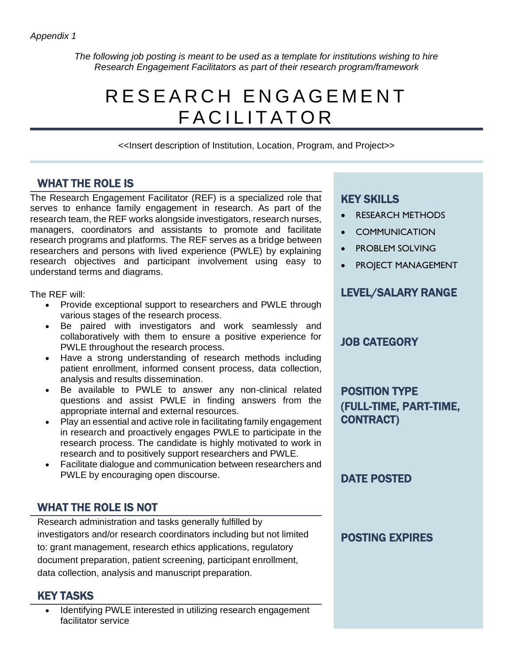*The following job posting is meant to be used as a template for institutions wishing to hire Research Engagement Facilitators as part of their research program/framework*

# R E S E A R C H E N G A G E M E N T FACILITATOR

<<Insert description of Institution, Location, Program, and Project>>

## WHAT THE ROLE IS

The Research Engagement Facilitator (REF) is a specialized role that serves to enhance family engagement in research. As part of the research team, the REF works alongside investigators, research nurses, managers, coordinators and assistants to promote and facilitate research programs and platforms. The REF serves as a bridge between researchers and persons with lived experience (PWLE) by explaining research objectives and participant involvement using easy to understand terms and diagrams.

The REF will:

- Provide exceptional support to researchers and PWLE through various stages of the research process.
- Be paired with investigators and work seamlessly and collaboratively with them to ensure a positive experience for PWLE throughout the research process.
- Have a strong understanding of research methods including patient enrollment, informed consent process, data collection, analysis and results dissemination.
- Be available to PWLE to answer any non-clinical related questions and assist PWLE in finding answers from the appropriate internal and external resources.
- Play an essential and active role in facilitating family engagement in research and proactively engages PWLE to participate in the research process. The candidate is highly motivated to work in research and to positively support researchers and PWLE.
- Facilitate dialogue and communication between researchers and PWLE by encouraging open discourse.

## WHAT THE ROLE IS NOT

Research administration and tasks generally fulfilled by investigators and/or research coordinators including but not limited to: grant management, research ethics applications, regulatory document preparation, patient screening, participant enrollment, data collection, analysis and manuscript preparation.

## KEY TASKS

Identifying PWLE interested in utilizing research engagement facilitator service

## KEY SKILLS

- RESEARCH METHODS
- **COMMUNICATION**
- PROBLEM SOLVING
- PROJECT MANAGEMENT

## LEVEL/SALARY RANGE

## JOB CATEGORY

POSITION TYPE (FULL-TIME, PART-TIME, CONTRACT)

DATE POSTED

## POSTING EXPIRES